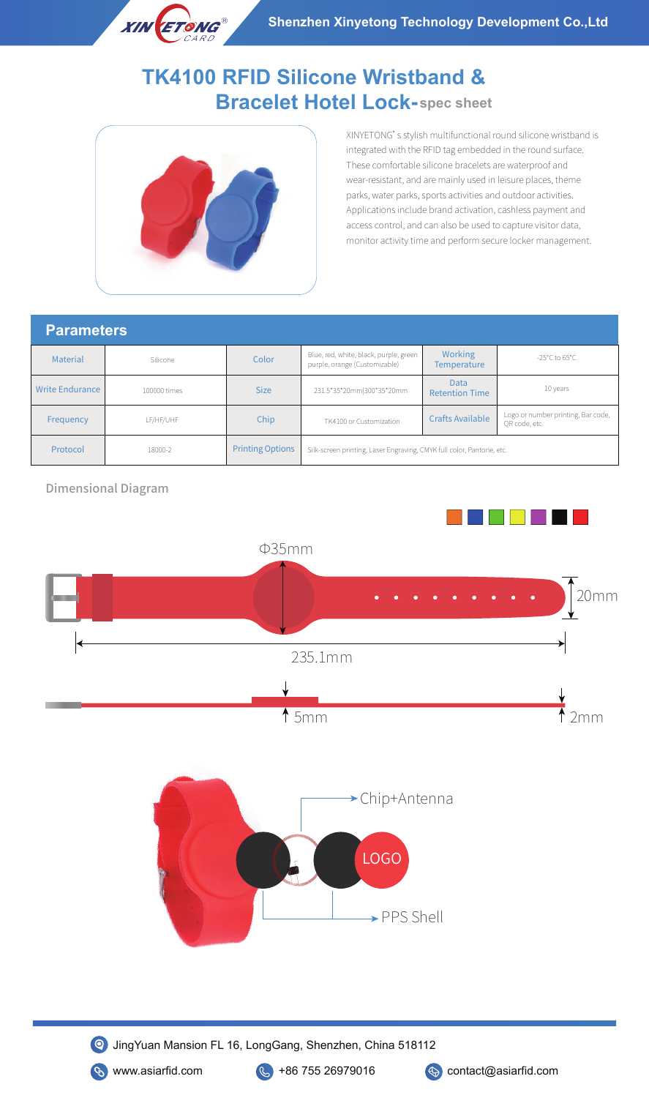## **Bracelet Hotel Lock-spec sheet TK4100 RFID Silicone Wristband &**



XINYETONG's stylish multifunctional round silicone wristband is integrated with the RFID tag embedded in the round surface. These comfortable silicone bracelets are waterproof and wear-resistant, and are mainly used in leisure places, theme parks, water parks, sports activities and outdoor activities. Applications include brand activation, cashless payment and access control, and can also be used to capture visitor data, monitor activity time and perform secure locker management.

## **Parameters**

| Material        | Silicone     | Color                   | Blue, red, white, black, purple, green<br>purple, orange (Customizable) | <b>Working</b><br>Temperature | -25°C to 65°C                                       |
|-----------------|--------------|-------------------------|-------------------------------------------------------------------------|-------------------------------|-----------------------------------------------------|
| Write Endurance | 100000 times | <b>Size</b>             | 231.5*35*20mm 300*35*20mm                                               | Data<br><b>Retention Time</b> | 10 years                                            |
| Frequency       | LF/HF/UHF    | Chip                    | TK4100 or Customization                                                 | <b>Crafts Available</b>       | Logo or number printing, Bar code,<br>OR code, etc. |
| Protocol        | 18000-2      | <b>Printing Options</b> | Silk-screen printing, Laser Engraving, CMYK full color, Pantone, etc.   |                               |                                                     |